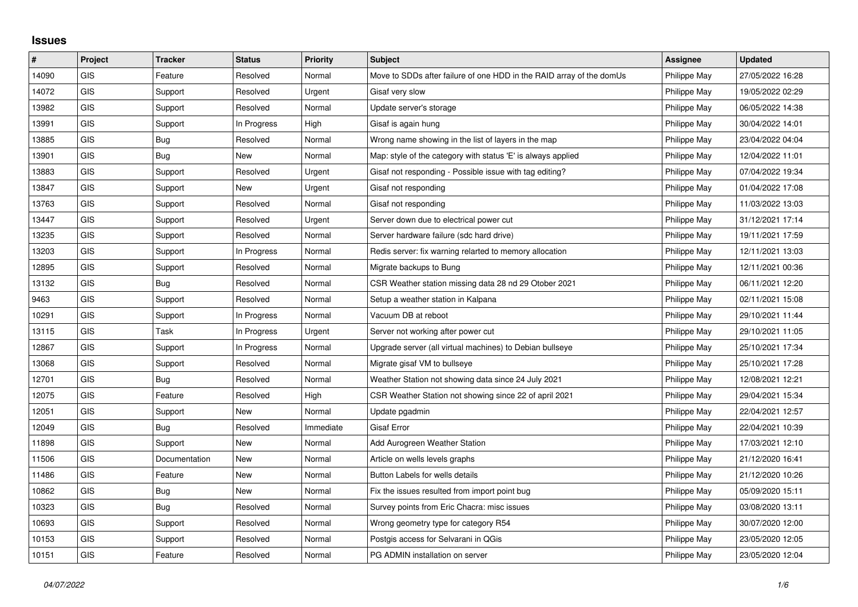## **Issues**

| $\sharp$ | Project    | <b>Tracker</b> | <b>Status</b> | <b>Priority</b> | <b>Subject</b>                                                       | <b>Assignee</b> | <b>Updated</b>   |
|----------|------------|----------------|---------------|-----------------|----------------------------------------------------------------------|-----------------|------------------|
| 14090    | <b>GIS</b> | Feature        | Resolved      | Normal          | Move to SDDs after failure of one HDD in the RAID array of the domUs | Philippe May    | 27/05/2022 16:28 |
| 14072    | GIS        | Support        | Resolved      | Urgent          | Gisaf very slow                                                      | Philippe May    | 19/05/2022 02:29 |
| 13982    | GIS        | Support        | Resolved      | Normal          | Update server's storage                                              | Philippe May    | 06/05/2022 14:38 |
| 13991    | <b>GIS</b> | Support        | In Progress   | High            | Gisaf is again hung                                                  | Philippe May    | 30/04/2022 14:01 |
| 13885    | GIS        | Bug            | Resolved      | Normal          | Wrong name showing in the list of layers in the map                  | Philippe May    | 23/04/2022 04:04 |
| 13901    | <b>GIS</b> | <b>Bug</b>     | <b>New</b>    | Normal          | Map: style of the category with status 'E' is always applied         | Philippe May    | 12/04/2022 11:01 |
| 13883    | <b>GIS</b> | Support        | Resolved      | Urgent          | Gisaf not responding - Possible issue with tag editing?              | Philippe May    | 07/04/2022 19:34 |
| 13847    | GIS        | Support        | <b>New</b>    | Urgent          | Gisaf not responding                                                 | Philippe May    | 01/04/2022 17:08 |
| 13763    | GIS        | Support        | Resolved      | Normal          | Gisaf not responding                                                 | Philippe May    | 11/03/2022 13:03 |
| 13447    | <b>GIS</b> | Support        | Resolved      | Urgent          | Server down due to electrical power cut                              | Philippe May    | 31/12/2021 17:14 |
| 13235    | <b>GIS</b> | Support        | Resolved      | Normal          | Server hardware failure (sdc hard drive)                             | Philippe May    | 19/11/2021 17:59 |
| 13203    | GIS        | Support        | In Progress   | Normal          | Redis server: fix warning relarted to memory allocation              | Philippe May    | 12/11/2021 13:03 |
| 12895    | GIS        | Support        | Resolved      | Normal          | Migrate backups to Bung                                              | Philippe May    | 12/11/2021 00:36 |
| 13132    | GIS        | Bug            | Resolved      | Normal          | CSR Weather station missing data 28 nd 29 Otober 2021                | Philippe May    | 06/11/2021 12:20 |
| 9463     | GIS        | Support        | Resolved      | Normal          | Setup a weather station in Kalpana                                   | Philippe May    | 02/11/2021 15:08 |
| 10291    | GIS        | Support        | In Progress   | Normal          | Vacuum DB at reboot                                                  | Philippe May    | 29/10/2021 11:44 |
| 13115    | GIS        | Task           | In Progress   | Urgent          | Server not working after power cut                                   | Philippe May    | 29/10/2021 11:05 |
| 12867    | GIS        | Support        | In Progress   | Normal          | Upgrade server (all virtual machines) to Debian bullseye             | Philippe May    | 25/10/2021 17:34 |
| 13068    | GIS        | Support        | Resolved      | Normal          | Migrate gisaf VM to bullseye                                         | Philippe May    | 25/10/2021 17:28 |
| 12701    | <b>GIS</b> | Bug            | Resolved      | Normal          | Weather Station not showing data since 24 July 2021                  | Philippe May    | 12/08/2021 12:21 |
| 12075    | GIS        | Feature        | Resolved      | High            | CSR Weather Station not showing since 22 of april 2021               | Philippe May    | 29/04/2021 15:34 |
| 12051    | <b>GIS</b> | Support        | <b>New</b>    | Normal          | Update pgadmin                                                       | Philippe May    | 22/04/2021 12:57 |
| 12049    | GIS        | Bug            | Resolved      | Immediate       | Gisaf Error                                                          | Philippe May    | 22/04/2021 10:39 |
| 11898    | <b>GIS</b> | Support        | <b>New</b>    | Normal          | Add Aurogreen Weather Station                                        | Philippe May    | 17/03/2021 12:10 |
| 11506    | GIS        | Documentation  | <b>New</b>    | Normal          | Article on wells levels graphs                                       | Philippe May    | 21/12/2020 16:41 |
| 11486    | GIS        | Feature        | New           | Normal          | Button Labels for wells details                                      | Philippe May    | 21/12/2020 10:26 |
| 10862    | <b>GIS</b> | Bug            | <b>New</b>    | Normal          | Fix the issues resulted from import point bug                        | Philippe May    | 05/09/2020 15:11 |
| 10323    | GIS        | Bug            | Resolved      | Normal          | Survey points from Eric Chacra: misc issues                          | Philippe May    | 03/08/2020 13:11 |
| 10693    | <b>GIS</b> | Support        | Resolved      | Normal          | Wrong geometry type for category R54                                 | Philippe May    | 30/07/2020 12:00 |
| 10153    | <b>GIS</b> | Support        | Resolved      | Normal          | Postgis access for Selvarani in QGis                                 | Philippe May    | 23/05/2020 12:05 |
| 10151    | GIS        | Feature        | Resolved      | Normal          | PG ADMIN installation on server                                      | Philippe May    | 23/05/2020 12:04 |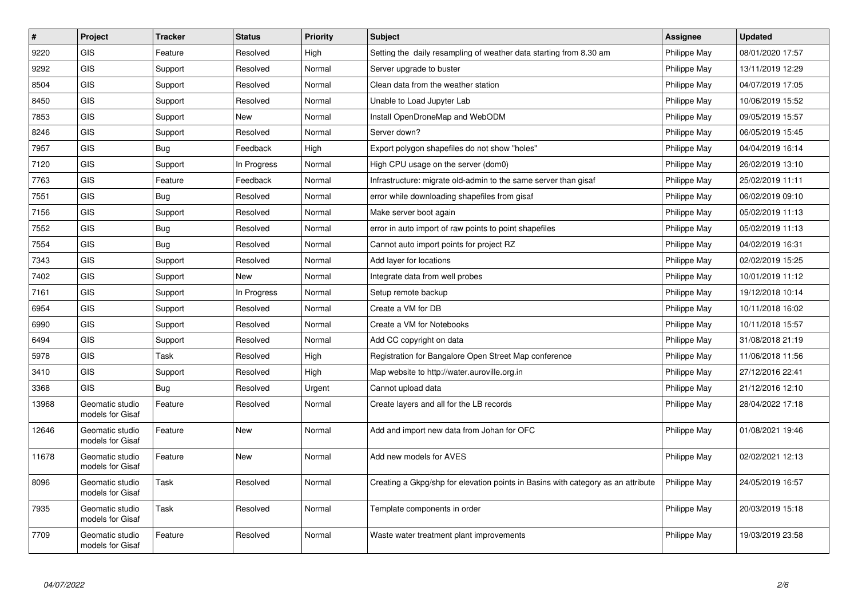| $\sharp$ | Project                             | <b>Tracker</b> | <b>Status</b> | <b>Priority</b> | <b>Subject</b>                                                                   | <b>Assignee</b> | <b>Updated</b>   |
|----------|-------------------------------------|----------------|---------------|-----------------|----------------------------------------------------------------------------------|-----------------|------------------|
| 9220     | <b>GIS</b>                          | Feature        | Resolved      | High            | Setting the daily resampling of weather data starting from 8.30 am               | Philippe May    | 08/01/2020 17:57 |
| 9292     | <b>GIS</b>                          | Support        | Resolved      | Normal          | Server upgrade to buster                                                         | Philippe May    | 13/11/2019 12:29 |
| 8504     | <b>GIS</b>                          | Support        | Resolved      | Normal          | Clean data from the weather station                                              | Philippe May    | 04/07/2019 17:05 |
| 8450     | <b>GIS</b>                          | Support        | Resolved      | Normal          | Unable to Load Jupyter Lab                                                       | Philippe May    | 10/06/2019 15:52 |
| 7853     | <b>GIS</b>                          | Support        | New           | Normal          | Install OpenDroneMap and WebODM                                                  | Philippe May    | 09/05/2019 15:57 |
| 8246     | GIS                                 | Support        | Resolved      | Normal          | Server down?                                                                     | Philippe May    | 06/05/2019 15:45 |
| 7957     | <b>GIS</b>                          | Bug            | Feedback      | High            | Export polygon shapefiles do not show "holes"                                    | Philippe May    | 04/04/2019 16:14 |
| 7120     | GIS                                 | Support        | In Progress   | Normal          | High CPU usage on the server (dom0)                                              | Philippe May    | 26/02/2019 13:10 |
| 7763     | <b>GIS</b>                          | Feature        | Feedback      | Normal          | Infrastructure: migrate old-admin to the same server than gisaf                  | Philippe May    | 25/02/2019 11:11 |
| 7551     | <b>GIS</b>                          | <b>Bug</b>     | Resolved      | Normal          | error while downloading shapefiles from gisaf                                    | Philippe May    | 06/02/2019 09:10 |
| 7156     | <b>GIS</b>                          | Support        | Resolved      | Normal          | Make server boot again                                                           | Philippe May    | 05/02/2019 11:13 |
| 7552     | <b>GIS</b>                          | Bug            | Resolved      | Normal          | error in auto import of raw points to point shapefiles                           | Philippe May    | 05/02/2019 11:13 |
| 7554     | GIS                                 | <b>Bug</b>     | Resolved      | Normal          | Cannot auto import points for project RZ                                         | Philippe May    | 04/02/2019 16:31 |
| 7343     | GIS                                 | Support        | Resolved      | Normal          | Add layer for locations                                                          | Philippe May    | 02/02/2019 15:25 |
| 7402     | <b>GIS</b>                          | Support        | New           | Normal          | Integrate data from well probes                                                  | Philippe May    | 10/01/2019 11:12 |
| 7161     | <b>GIS</b>                          | Support        | In Progress   | Normal          | Setup remote backup                                                              | Philippe May    | 19/12/2018 10:14 |
| 6954     | <b>GIS</b>                          | Support        | Resolved      | Normal          | Create a VM for DB                                                               | Philippe May    | 10/11/2018 16:02 |
| 6990     | GIS                                 | Support        | Resolved      | Normal          | Create a VM for Notebooks                                                        | Philippe May    | 10/11/2018 15:57 |
| 6494     | <b>GIS</b>                          | Support        | Resolved      | Normal          | Add CC copyright on data                                                         | Philippe May    | 31/08/2018 21:19 |
| 5978     | GIS                                 | Task           | Resolved      | High            | Registration for Bangalore Open Street Map conference                            | Philippe May    | 11/06/2018 11:56 |
| 3410     | <b>GIS</b>                          | Support        | Resolved      | High            | Map website to http://water.auroville.org.in                                     | Philippe May    | 27/12/2016 22:41 |
| 3368     | <b>GIS</b>                          | Bug            | Resolved      | Urgent          | Cannot upload data                                                               | Philippe May    | 21/12/2016 12:10 |
| 13968    | Geomatic studio<br>models for Gisaf | Feature        | Resolved      | Normal          | Create layers and all for the LB records                                         | Philippe May    | 28/04/2022 17:18 |
| 12646    | Geomatic studio<br>models for Gisaf | Feature        | New           | Normal          | Add and import new data from Johan for OFC                                       | Philippe May    | 01/08/2021 19:46 |
| 11678    | Geomatic studio<br>models for Gisaf | Feature        | <b>New</b>    | Normal          | Add new models for AVES                                                          | Philippe May    | 02/02/2021 12:13 |
| 8096     | Geomatic studio<br>models for Gisaf | Task           | Resolved      | Normal          | Creating a Gkpg/shp for elevation points in Basins with category as an attribute | Philippe May    | 24/05/2019 16:57 |
| 7935     | Geomatic studio<br>models for Gisaf | Task           | Resolved      | Normal          | Template components in order                                                     | Philippe May    | 20/03/2019 15:18 |
| 7709     | Geomatic studio<br>models for Gisaf | Feature        | Resolved      | Normal          | Waste water treatment plant improvements                                         | Philippe May    | 19/03/2019 23:58 |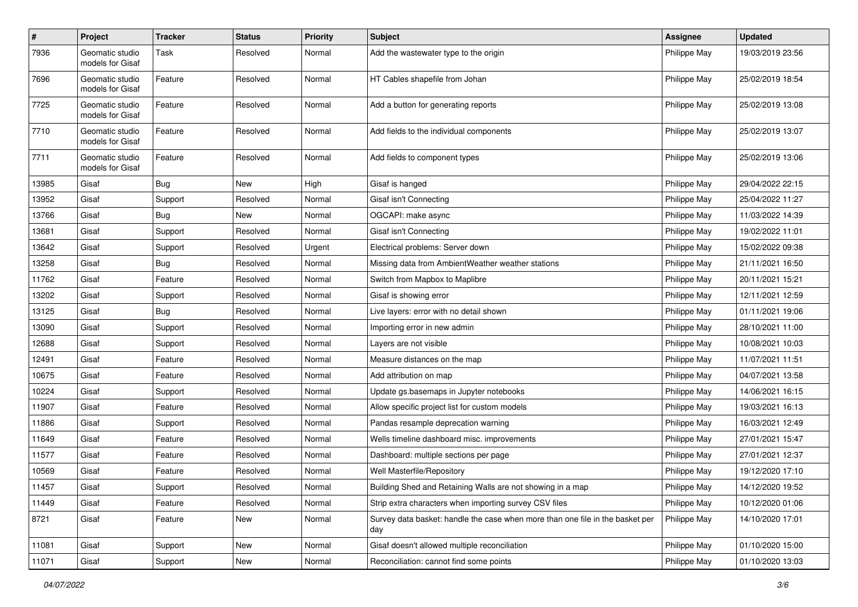| $\sharp$ | <b>Project</b>                      | <b>Tracker</b> | <b>Status</b> | <b>Priority</b> | <b>Subject</b>                                                                       | <b>Assignee</b> | <b>Updated</b>   |
|----------|-------------------------------------|----------------|---------------|-----------------|--------------------------------------------------------------------------------------|-----------------|------------------|
| 7936     | Geomatic studio<br>models for Gisaf | Task           | Resolved      | Normal          | Add the wastewater type to the origin                                                | Philippe May    | 19/03/2019 23:56 |
| 7696     | Geomatic studio<br>models for Gisaf | Feature        | Resolved      | Normal          | HT Cables shapefile from Johan                                                       | Philippe May    | 25/02/2019 18:54 |
| 7725     | Geomatic studio<br>models for Gisaf | Feature        | Resolved      | Normal          | Add a button for generating reports                                                  | Philippe May    | 25/02/2019 13:08 |
| 7710     | Geomatic studio<br>models for Gisaf | Feature        | Resolved      | Normal          | Add fields to the individual components                                              | Philippe May    | 25/02/2019 13:07 |
| 7711     | Geomatic studio<br>models for Gisaf | Feature        | Resolved      | Normal          | Add fields to component types                                                        | Philippe May    | 25/02/2019 13:06 |
| 13985    | Gisaf                               | Bug            | New           | High            | Gisaf is hanged                                                                      | Philippe May    | 29/04/2022 22:15 |
| 13952    | Gisaf                               | Support        | Resolved      | Normal          | Gisaf isn't Connecting                                                               | Philippe May    | 25/04/2022 11:27 |
| 13766    | Gisaf                               | Bug            | <b>New</b>    | Normal          | OGCAPI: make async                                                                   | Philippe May    | 11/03/2022 14:39 |
| 13681    | Gisaf                               | Support        | Resolved      | Normal          | Gisaf isn't Connecting                                                               | Philippe May    | 19/02/2022 11:01 |
| 13642    | Gisaf                               | Support        | Resolved      | Urgent          | Electrical problems: Server down                                                     | Philippe May    | 15/02/2022 09:38 |
| 13258    | Gisaf                               | <b>Bug</b>     | Resolved      | Normal          | Missing data from AmbientWeather weather stations                                    | Philippe May    | 21/11/2021 16:50 |
| 11762    | Gisaf                               | Feature        | Resolved      | Normal          | Switch from Mapbox to Maplibre                                                       | Philippe May    | 20/11/2021 15:21 |
| 13202    | Gisaf                               | Support        | Resolved      | Normal          | Gisaf is showing error                                                               | Philippe May    | 12/11/2021 12:59 |
| 13125    | Gisaf                               | <b>Bug</b>     | Resolved      | Normal          | Live layers: error with no detail shown                                              | Philippe May    | 01/11/2021 19:06 |
| 13090    | Gisaf                               | Support        | Resolved      | Normal          | Importing error in new admin                                                         | Philippe May    | 28/10/2021 11:00 |
| 12688    | Gisaf                               | Support        | Resolved      | Normal          | Layers are not visible                                                               | Philippe May    | 10/08/2021 10:03 |
| 12491    | Gisaf                               | Feature        | Resolved      | Normal          | Measure distances on the map                                                         | Philippe May    | 11/07/2021 11:51 |
| 10675    | Gisaf                               | Feature        | Resolved      | Normal          | Add attribution on map                                                               | Philippe May    | 04/07/2021 13:58 |
| 10224    | Gisaf                               | Support        | Resolved      | Normal          | Update gs.basemaps in Jupyter notebooks                                              | Philippe May    | 14/06/2021 16:15 |
| 11907    | Gisaf                               | Feature        | Resolved      | Normal          | Allow specific project list for custom models                                        | Philippe May    | 19/03/2021 16:13 |
| 11886    | Gisaf                               | Support        | Resolved      | Normal          | Pandas resample deprecation warning                                                  | Philippe May    | 16/03/2021 12:49 |
| 11649    | Gisaf                               | Feature        | Resolved      | Normal          | Wells timeline dashboard misc. improvements                                          | Philippe May    | 27/01/2021 15:47 |
| 11577    | Gisaf                               | Feature        | Resolved      | Normal          | Dashboard: multiple sections per page                                                | Philippe May    | 27/01/2021 12:37 |
| 10569    | Gisaf                               | Feature        | Resolved      | Normal          | Well Masterfile/Repository                                                           | Philippe May    | 19/12/2020 17:10 |
| 11457    | Gisaf                               | Support        | Resolved      | Normal          | Building Shed and Retaining Walls are not showing in a map                           | Philippe May    | 14/12/2020 19:52 |
| 11449    | Gisaf                               | Feature        | Resolved      | Normal          | Strip extra characters when importing survey CSV files                               | Philippe May    | 10/12/2020 01:06 |
| 8721     | Gisaf                               | Feature        | New           | Normal          | Survey data basket: handle the case when more than one file in the basket per<br>day | Philippe May    | 14/10/2020 17:01 |
| 11081    | Gisaf                               | Support        | New           | Normal          | Gisaf doesn't allowed multiple reconciliation                                        | Philippe May    | 01/10/2020 15:00 |
| 11071    | Gisaf                               | Support        | New           | Normal          | Reconciliation: cannot find some points                                              | Philippe May    | 01/10/2020 13:03 |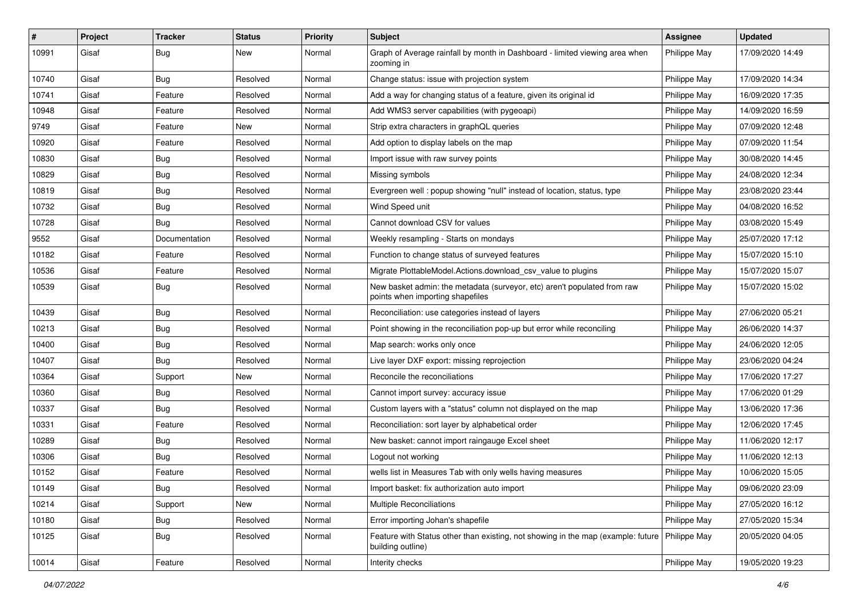| #     | Project | <b>Tracker</b> | <b>Status</b> | <b>Priority</b> | Subject                                                                                                              | <b>Assignee</b> | <b>Updated</b>   |
|-------|---------|----------------|---------------|-----------------|----------------------------------------------------------------------------------------------------------------------|-----------------|------------------|
| 10991 | Gisaf   | <b>Bug</b>     | New           | Normal          | Graph of Average rainfall by month in Dashboard - limited viewing area when<br>zooming in                            | Philippe May    | 17/09/2020 14:49 |
| 10740 | Gisaf   | Bug            | Resolved      | Normal          | Change status: issue with projection system                                                                          | Philippe May    | 17/09/2020 14:34 |
| 10741 | Gisaf   | Feature        | Resolved      | Normal          | Add a way for changing status of a feature, given its original id                                                    | Philippe May    | 16/09/2020 17:35 |
| 10948 | Gisaf   | Feature        | Resolved      | Normal          | Add WMS3 server capabilities (with pygeoapi)                                                                         | Philippe May    | 14/09/2020 16:59 |
| 9749  | Gisaf   | Feature        | New           | Normal          | Strip extra characters in graphQL queries                                                                            | Philippe May    | 07/09/2020 12:48 |
| 10920 | Gisaf   | Feature        | Resolved      | Normal          | Add option to display labels on the map                                                                              | Philippe May    | 07/09/2020 11:54 |
| 10830 | Gisaf   | Bug            | Resolved      | Normal          | Import issue with raw survey points                                                                                  | Philippe May    | 30/08/2020 14:45 |
| 10829 | Gisaf   | <b>Bug</b>     | Resolved      | Normal          | Missing symbols                                                                                                      | Philippe May    | 24/08/2020 12:34 |
| 10819 | Gisaf   | Bug            | Resolved      | Normal          | Evergreen well: popup showing "null" instead of location, status, type                                               | Philippe May    | 23/08/2020 23:44 |
| 10732 | Gisaf   | Bug            | Resolved      | Normal          | Wind Speed unit                                                                                                      | Philippe May    | 04/08/2020 16:52 |
| 10728 | Gisaf   | <b>Bug</b>     | Resolved      | Normal          | Cannot download CSV for values                                                                                       | Philippe May    | 03/08/2020 15:49 |
| 9552  | Gisaf   | Documentation  | Resolved      | Normal          | Weekly resampling - Starts on mondays                                                                                | Philippe May    | 25/07/2020 17:12 |
| 10182 | Gisaf   | Feature        | Resolved      | Normal          | Function to change status of surveyed features                                                                       | Philippe May    | 15/07/2020 15:10 |
| 10536 | Gisaf   | Feature        | Resolved      | Normal          | Migrate PlottableModel.Actions.download_csv_value to plugins                                                         | Philippe May    | 15/07/2020 15:07 |
| 10539 | Gisaf   | Bug            | Resolved      | Normal          | New basket admin: the metadata (surveyor, etc) aren't populated from raw<br>points when importing shapefiles         | Philippe May    | 15/07/2020 15:02 |
| 10439 | Gisaf   | Bug            | Resolved      | Normal          | Reconciliation: use categories instead of layers                                                                     | Philippe May    | 27/06/2020 05:21 |
| 10213 | Gisaf   | <b>Bug</b>     | Resolved      | Normal          | Point showing in the reconciliation pop-up but error while reconciling                                               | Philippe May    | 26/06/2020 14:37 |
| 10400 | Gisaf   | Bug            | Resolved      | Normal          | Map search: works only once                                                                                          | Philippe May    | 24/06/2020 12:05 |
| 10407 | Gisaf   | Bug            | Resolved      | Normal          | Live layer DXF export: missing reprojection                                                                          | Philippe May    | 23/06/2020 04:24 |
| 10364 | Gisaf   | Support        | <b>New</b>    | Normal          | Reconcile the reconciliations                                                                                        | Philippe May    | 17/06/2020 17:27 |
| 10360 | Gisaf   | Bug            | Resolved      | Normal          | Cannot import survey: accuracy issue                                                                                 | Philippe May    | 17/06/2020 01:29 |
| 10337 | Gisaf   | <b>Bug</b>     | Resolved      | Normal          | Custom layers with a "status" column not displayed on the map                                                        | Philippe May    | 13/06/2020 17:36 |
| 10331 | Gisaf   | Feature        | Resolved      | Normal          | Reconciliation: sort layer by alphabetical order                                                                     | Philippe May    | 12/06/2020 17:45 |
| 10289 | Gisaf   | <b>Bug</b>     | Resolved      | Normal          | New basket: cannot import raingauge Excel sheet                                                                      | Philippe May    | 11/06/2020 12:17 |
| 10306 | Gisaf   | Bug            | Resolved      | Normal          | Logout not working                                                                                                   | Philippe May    | 11/06/2020 12:13 |
| 10152 | Gisaf   | Feature        | Resolved      | Normal          | wells list in Measures Tab with only wells having measures                                                           | Philippe May    | 10/06/2020 15:05 |
| 10149 | Gisaf   | Bug            | Resolved      | Normal          | Import basket: fix authorization auto import                                                                         | Philippe May    | 09/06/2020 23:09 |
| 10214 | Gisaf   | Support        | New           | Normal          | Multiple Reconciliations                                                                                             | Philippe May    | 27/05/2020 16:12 |
| 10180 | Gisaf   | Bug            | Resolved      | Normal          | Error importing Johan's shapefile                                                                                    | Philippe May    | 27/05/2020 15:34 |
| 10125 | Gisaf   | <b>Bug</b>     | Resolved      | Normal          | Feature with Status other than existing, not showing in the map (example: future   Philippe May<br>building outline) |                 | 20/05/2020 04:05 |
| 10014 | Gisaf   | Feature        | Resolved      | Normal          | Interity checks                                                                                                      | Philippe May    | 19/05/2020 19:23 |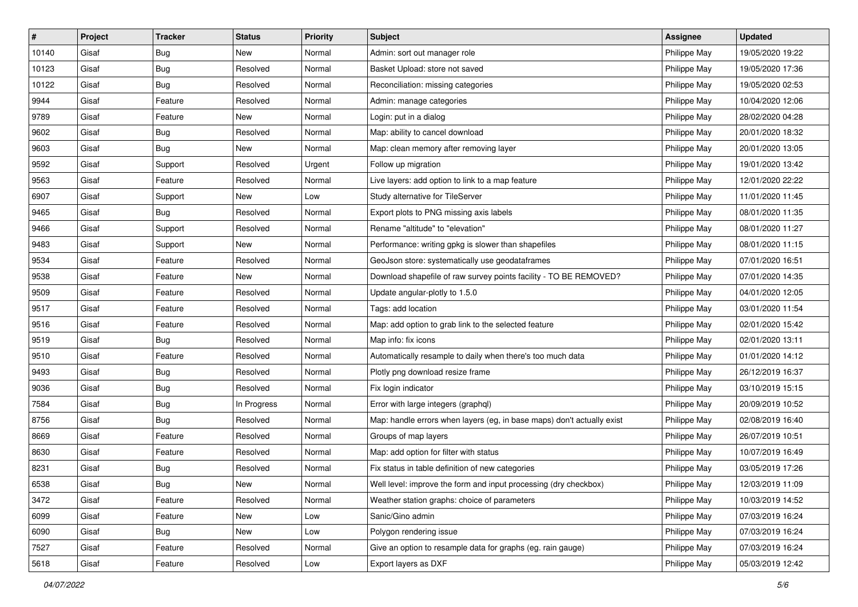| #     | Project | <b>Tracker</b> | <b>Status</b> | <b>Priority</b> | <b>Subject</b>                                                         | <b>Assignee</b> | <b>Updated</b>   |
|-------|---------|----------------|---------------|-----------------|------------------------------------------------------------------------|-----------------|------------------|
| 10140 | Gisaf   | <b>Bug</b>     | New           | Normal          | Admin: sort out manager role                                           | Philippe May    | 19/05/2020 19:22 |
| 10123 | Gisaf   | Bug            | Resolved      | Normal          | Basket Upload: store not saved                                         | Philippe May    | 19/05/2020 17:36 |
| 10122 | Gisaf   | <b>Bug</b>     | Resolved      | Normal          | Reconciliation: missing categories                                     | Philippe May    | 19/05/2020 02:53 |
| 9944  | Gisaf   | Feature        | Resolved      | Normal          | Admin: manage categories                                               | Philippe May    | 10/04/2020 12:06 |
| 9789  | Gisaf   | Feature        | New           | Normal          | Login: put in a dialog                                                 | Philippe May    | 28/02/2020 04:28 |
| 9602  | Gisaf   | <b>Bug</b>     | Resolved      | Normal          | Map: ability to cancel download                                        | Philippe May    | 20/01/2020 18:32 |
| 9603  | Gisaf   | <b>Bug</b>     | New           | Normal          | Map: clean memory after removing layer                                 | Philippe May    | 20/01/2020 13:05 |
| 9592  | Gisaf   | Support        | Resolved      | Urgent          | Follow up migration                                                    | Philippe May    | 19/01/2020 13:42 |
| 9563  | Gisaf   | Feature        | Resolved      | Normal          | Live layers: add option to link to a map feature                       | Philippe May    | 12/01/2020 22:22 |
| 6907  | Gisaf   | Support        | New           | Low             | Study alternative for TileServer                                       | Philippe May    | 11/01/2020 11:45 |
| 9465  | Gisaf   | Bug            | Resolved      | Normal          | Export plots to PNG missing axis labels                                | Philippe May    | 08/01/2020 11:35 |
| 9466  | Gisaf   | Support        | Resolved      | Normal          | Rename "altitude" to "elevation"                                       | Philippe May    | 08/01/2020 11:27 |
| 9483  | Gisaf   | Support        | New           | Normal          | Performance: writing gpkg is slower than shapefiles                    | Philippe May    | 08/01/2020 11:15 |
| 9534  | Gisaf   | Feature        | Resolved      | Normal          | GeoJson store: systematically use geodataframes                        | Philippe May    | 07/01/2020 16:51 |
| 9538  | Gisaf   | Feature        | New           | Normal          | Download shapefile of raw survey points facility - TO BE REMOVED?      | Philippe May    | 07/01/2020 14:35 |
| 9509  | Gisaf   | Feature        | Resolved      | Normal          | Update angular-plotly to 1.5.0                                         | Philippe May    | 04/01/2020 12:05 |
| 9517  | Gisaf   | Feature        | Resolved      | Normal          | Tags: add location                                                     | Philippe May    | 03/01/2020 11:54 |
| 9516  | Gisaf   | Feature        | Resolved      | Normal          | Map: add option to grab link to the selected feature                   | Philippe May    | 02/01/2020 15:42 |
| 9519  | Gisaf   | <b>Bug</b>     | Resolved      | Normal          | Map info: fix icons                                                    | Philippe May    | 02/01/2020 13:11 |
| 9510  | Gisaf   | Feature        | Resolved      | Normal          | Automatically resample to daily when there's too much data             | Philippe May    | 01/01/2020 14:12 |
| 9493  | Gisaf   | <b>Bug</b>     | Resolved      | Normal          | Plotly png download resize frame                                       | Philippe May    | 26/12/2019 16:37 |
| 9036  | Gisaf   | <b>Bug</b>     | Resolved      | Normal          | Fix login indicator                                                    | Philippe May    | 03/10/2019 15:15 |
| 7584  | Gisaf   | Bug            | In Progress   | Normal          | Error with large integers (graphql)                                    | Philippe May    | 20/09/2019 10:52 |
| 8756  | Gisaf   | <b>Bug</b>     | Resolved      | Normal          | Map: handle errors when layers (eg, in base maps) don't actually exist | Philippe May    | 02/08/2019 16:40 |
| 8669  | Gisaf   | Feature        | Resolved      | Normal          | Groups of map layers                                                   | Philippe May    | 26/07/2019 10:51 |
| 8630  | Gisaf   | Feature        | Resolved      | Normal          | Map: add option for filter with status                                 | Philippe May    | 10/07/2019 16:49 |
| 8231  | Gisaf   | <b>Bug</b>     | Resolved      | Normal          | Fix status in table definition of new categories                       | Philippe May    | 03/05/2019 17:26 |
| 6538  | Gisaf   | Bug            | New           | Normal          | Well level: improve the form and input processing (dry checkbox)       | Philippe May    | 12/03/2019 11:09 |
| 3472  | Gisaf   | Feature        | Resolved      | Normal          | Weather station graphs: choice of parameters                           | Philippe May    | 10/03/2019 14:52 |
| 6099  | Gisaf   | Feature        | New           | Low             | Sanic/Gino admin                                                       | Philippe May    | 07/03/2019 16:24 |
| 6090  | Gisaf   | Bug            | New           | Low             | Polygon rendering issue                                                | Philippe May    | 07/03/2019 16:24 |
| 7527  | Gisaf   | Feature        | Resolved      | Normal          | Give an option to resample data for graphs (eg. rain gauge)            | Philippe May    | 07/03/2019 16:24 |
| 5618  | Gisaf   | Feature        | Resolved      | Low             | Export layers as DXF                                                   | Philippe May    | 05/03/2019 12:42 |